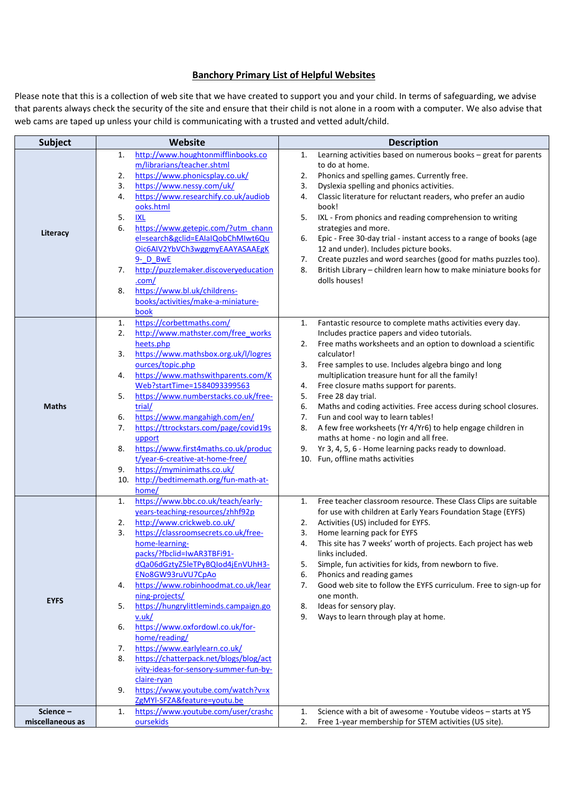## **Banchory Primary List of Helpful Websites**

Please note that this is a collection of web site that we have created to support you and your child. In terms of safeguarding, we advise that parents always check the security of the site and ensure that their child is not alone in a room with a computer. We also advise that web cams are taped up unless your child is communicating with a trusted and vetted adult/child.

| <b>Subject</b>   | Website                                                  | <b>Description</b>                                                       |
|------------------|----------------------------------------------------------|--------------------------------------------------------------------------|
|                  | http://www.houghtonmifflinbooks.co<br>1.                 | Learning activities based on numerous books - great for parents<br>1.    |
|                  | m/librarians/teacher.shtml                               | to do at home.                                                           |
|                  | https://www.phonicsplay.co.uk/<br>2.                     | Phonics and spelling games. Currently free.<br>2.                        |
|                  | https://www.nessy.com/uk/<br>3.                          | Dyslexia spelling and phonics activities.<br>3.                          |
|                  | https://www.researchify.co.uk/audiob<br>4.               | Classic literature for reluctant readers, who prefer an audio<br>4.      |
|                  | ooks.html                                                | book!                                                                    |
|                  | <b>IXL</b><br>5.                                         | 5.<br>IXL - From phonics and reading comprehension to writing            |
|                  | 6.<br>https://www.getepic.com/?utm_chann                 | strategies and more.                                                     |
| Literacy         | el=search&gclid=EAIaIQobChMIwt6Qu                        |                                                                          |
|                  |                                                          | Epic - Free 30-day trial - instant access to a range of books (age<br>6. |
|                  | Oic6AIV2YbVCh3wggmyEAAYASAAEgK                           | 12 and under). Includes picture books.                                   |
|                  | 9- D BwE                                                 | Create puzzles and word searches (good for maths puzzles too).<br>7.     |
|                  | http://puzzlemaker.discoveryeducation<br>7.              | 8.<br>British Library - children learn how to make miniature books for   |
|                  | .com/                                                    | dolls houses!                                                            |
|                  | https://www.bl.uk/childrens-<br>8.                       |                                                                          |
|                  | books/activities/make-a-miniature-                       |                                                                          |
|                  | book                                                     |                                                                          |
|                  | https://corbettmaths.com/<br>1.                          | Fantastic resource to complete maths activities every day.<br>1.         |
|                  | http://www.mathster.com/free_works<br>2.                 | Includes practice papers and video tutorials.                            |
|                  | heets.php                                                | Free maths worksheets and an option to download a scientific<br>2.       |
|                  | https://www.mathsbox.org.uk/l/logres<br>3.               | calculator!                                                              |
|                  | ources/topic.php                                         | Free samples to use. Includes algebra bingo and long<br>3.               |
|                  | https://www.mathswithparents.com/K                       |                                                                          |
|                  | 4.                                                       | multiplication treasure hunt for all the family!                         |
|                  | Web?startTime=1584093399563                              | Free closure maths support for parents.<br>4.                            |
|                  | https://www.numberstacks.co.uk/free-<br>5.               | Free 28 day trial.<br>5.                                                 |
| <b>Maths</b>     | trial/                                                   | 6.<br>Maths and coding activities. Free access during school closures.   |
|                  | https://www.mangahigh.com/en/<br>6.                      | Fun and cool way to learn tables!<br>7.                                  |
|                  | https://ttrockstars.com/page/covid19s<br>7.              | A few free worksheets (Yr 4/Yr6) to help engage children in<br>8.        |
|                  | upport                                                   | maths at home - no login and all free.                                   |
|                  | https://www.first4maths.co.uk/produc<br>8.               | Yr 3, 4, 5, 6 - Home learning packs ready to download.<br>9.             |
|                  | t/year-6-creative-at-home-free/                          | 10. Fun, offline maths activities                                        |
|                  | https://myminimaths.co.uk/<br>9.                         |                                                                          |
|                  | 10. http://bedtimemath.org/fun-math-at-                  |                                                                          |
|                  | home/                                                    |                                                                          |
|                  | https://www.bbc.co.uk/teach/early-<br>1.                 | Free teacher classroom resource. These Class Clips are suitable<br>1.    |
|                  | years-teaching-resources/zhhf92p                         | for use with children at Early Years Foundation Stage (EYFS)             |
|                  | http://www.crickweb.co.uk/<br>2.                         | Activities (US) included for EYFS.<br>2.                                 |
|                  | https://classroomsecrets.co.uk/free-<br>3.               | Home learning pack for EYFS<br>3.                                        |
|                  | home-learning-                                           | This site has 7 weeks' worth of projects. Each project has web<br>4.     |
|                  | packs/?fbclid=IwAR3TBFi91-                               | links included.                                                          |
|                  | dQa06dGztyZ5leTPyBQIod4jEnVUhH3-                         | Simple, fun activities for kids, from newborn to five.<br>5.             |
|                  |                                                          |                                                                          |
|                  | ENo8GW93ruVU7CpAo<br>https://www.robinhoodmat.co.uk/lear | Phonics and reading games<br>6.                                          |
|                  | 4.                                                       | Good web site to follow the EYFS curriculum. Free to sign-up for<br>7.   |
| <b>EYFS</b>      | ning-projects/                                           | one month.                                                               |
|                  | https://hungrylittleminds.campaign.go<br>5.              | Ideas for sensory play.<br>8.                                            |
|                  | v.uk/                                                    | Ways to learn through play at home.<br>9.                                |
|                  | https://www.oxfordowl.co.uk/for-<br>6.                   |                                                                          |
|                  | home/reading/                                            |                                                                          |
|                  | https://www.earlylearn.co.uk/<br>7.                      |                                                                          |
|                  | https://chatterpack.net/blogs/blog/act<br>8.             |                                                                          |
|                  | ivity-ideas-for-sensory-summer-fun-by-                   |                                                                          |
|                  | claire-ryan                                              |                                                                          |
|                  | https://www.youtube.com/watch?v=x<br>9.                  |                                                                          |
|                  | ZgMYI-SFZA&feature=youtu.be                              |                                                                          |
| Science-         | https://www.youtube.com/user/crashc<br>1.                | Science with a bit of awesome - Youtube videos - starts at Y5<br>1.      |
| miscellaneous as | oursekids                                                | Free 1-year membership for STEM activities (US site).<br>2.              |
|                  |                                                          |                                                                          |